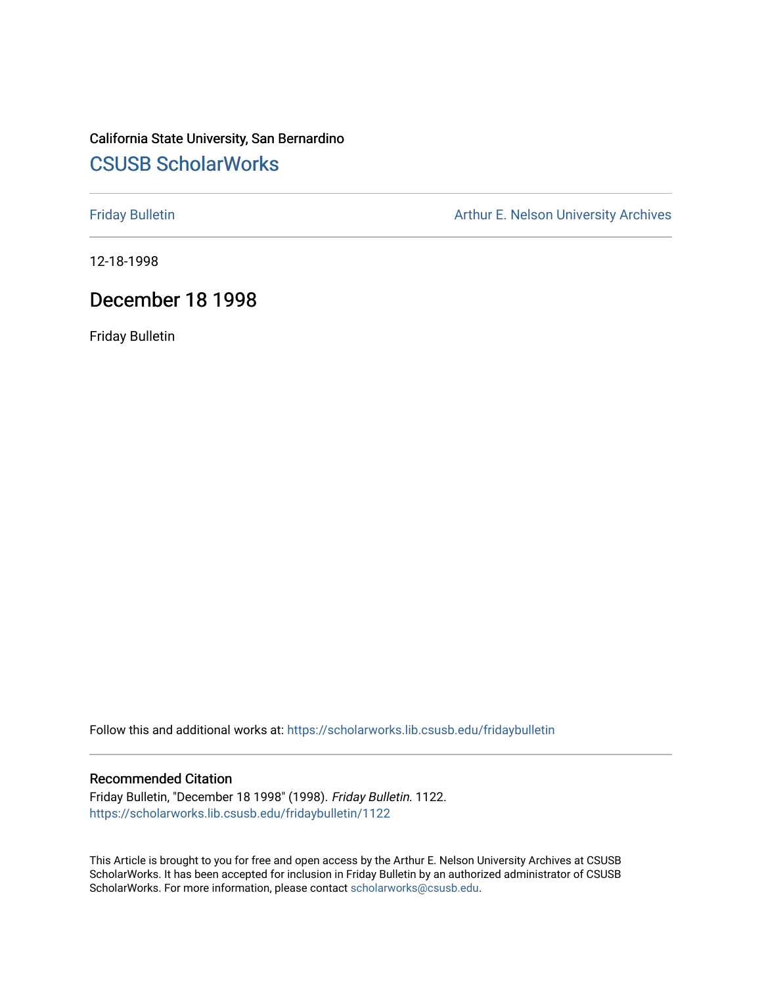## California State University, San Bernardino [CSUSB ScholarWorks](https://scholarworks.lib.csusb.edu/)

[Friday Bulletin](https://scholarworks.lib.csusb.edu/fridaybulletin) **Arthur E. Nelson University Archives** Arthur E. Nelson University Archives

12-18-1998

## December 18 1998

Friday Bulletin

Follow this and additional works at: [https://scholarworks.lib.csusb.edu/fridaybulletin](https://scholarworks.lib.csusb.edu/fridaybulletin?utm_source=scholarworks.lib.csusb.edu%2Ffridaybulletin%2F1122&utm_medium=PDF&utm_campaign=PDFCoverPages)

#### Recommended Citation

Friday Bulletin, "December 18 1998" (1998). Friday Bulletin. 1122. [https://scholarworks.lib.csusb.edu/fridaybulletin/1122](https://scholarworks.lib.csusb.edu/fridaybulletin/1122?utm_source=scholarworks.lib.csusb.edu%2Ffridaybulletin%2F1122&utm_medium=PDF&utm_campaign=PDFCoverPages) 

This Article is brought to you for free and open access by the Arthur E. Nelson University Archives at CSUSB ScholarWorks. It has been accepted for inclusion in Friday Bulletin by an authorized administrator of CSUSB ScholarWorks. For more information, please contact [scholarworks@csusb.edu.](mailto:scholarworks@csusb.edu)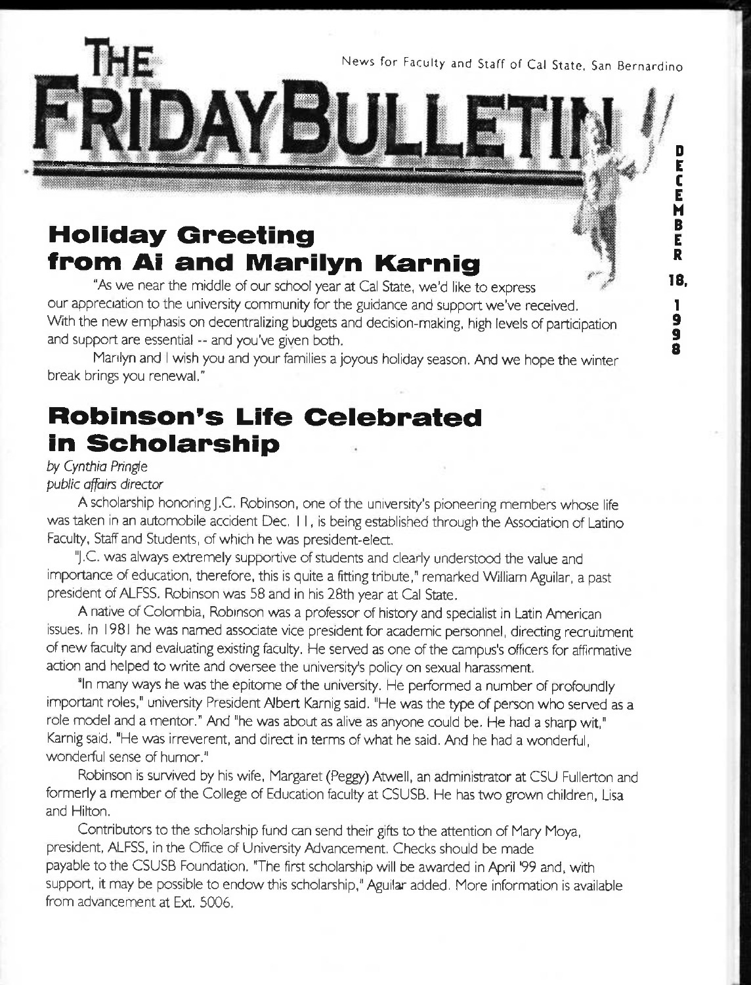News for Faculty and Staff of Cal State. San Bernardino

D E C E H B E R **18.** 

# **Holiday Greeting from Ai and Marilyn Karnig**

"As we near the middle of our school year at Cal State, we'd like to express our appreciation to the university community for the guidance and support we've received. With the new emphasis on decentralizing budgets and decision-making, high levels of participation and support are essential -- and you've given both.

5II

Marilyn and I wish you and your families a joyous holiday season. And we hope the winter break brings you renewal."

# **Robinson's Life Celebrated in Scholarship**

#### *by Cynthia Pringte public affairs directa*

A scholarship honoring j.C. Robinson, one of the university's pioneering members whose life was taken in an automobile accident Dec, I I, is being established through the Association of Latino Faculty, Staff and Students, of which he was president-elect.

"j.C. was always extremely supportive of students and clearly understood the value and importance of education, therefore, this is quite a fitting tribute," remarked William Aguilar, a past president of ALFSS. Robinson was 58 and in his 28th year at Cal State.

A native of Colombia, Robinson was a professor of history and specialist in Latin American issues. In 1981 he was named associate vice president for academic personnel, directing recruitment of new feculty and evaluating existing faculty. He served as one of the campus's officers for affirmative action and helped to write and oversee the university's policy on sexual harassment.

"In many ways he was the epitome of the university. He performed a number of profoundly important roles," university President Albert Karnig said. "He was the type of person who served as a role model and a mentor." And "he was about as alive as anyone could be. He had a sharp wit," Karnig said. "He was irreverent, and direct in terms of what he said. And he had a wonderful, wonderful sense of humor."

Robinson is survived by his wife, Margaret (Peggy) Atwell, an administrator at CSU Fullerton and formerly a member of the College of Education faculty at CSUSB. He has two grown children, Lisa and Hilton.

Contributors to the scholarship fund can send their gifts to the attention of Mary Moya, president, ALFSS, in the Office of University Advancement. Checks should be made payable to the CSUSB Foundation. 'The first scholarship will be awarded in April '99 and. with support, it may be possible to endow this scholarship," Aguilar added. More information is available from advancement at Ext. 5006.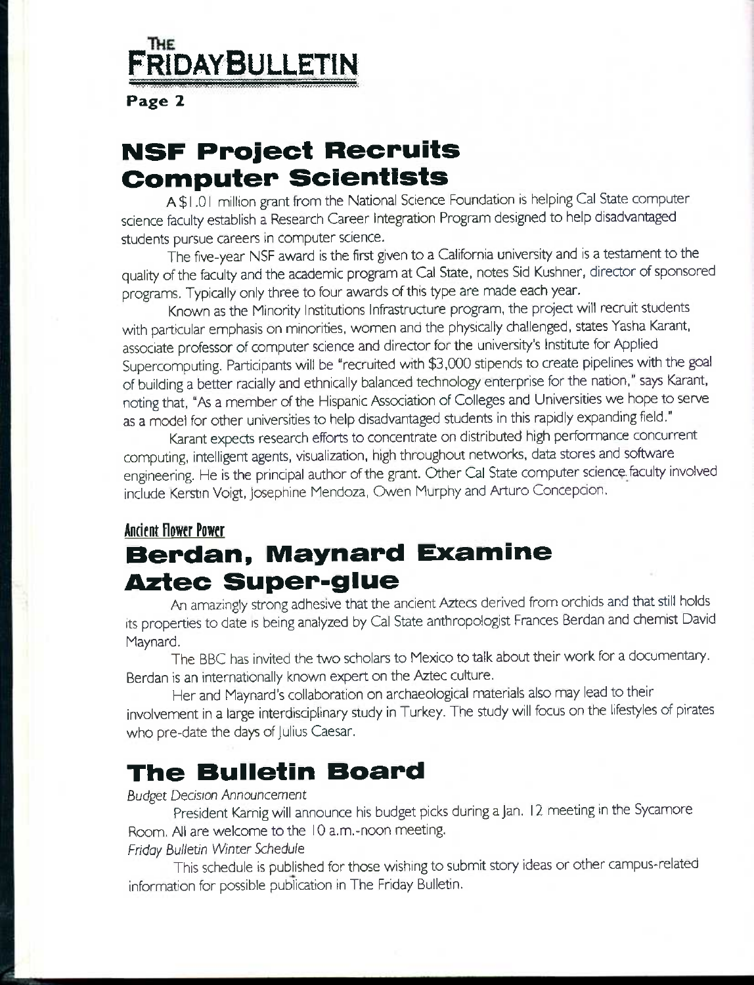# **FridayBulietin**

Page 2

# **NSF Project Recruits Computer Scientists**

A \$ 1.01 million grant from the National Science Foundation is helping Cal State computer science feculty establish a Research Career Integration Program designed to help disadvantaged students pursue careers in computer science.

The five-year NSF award is the first given to a California university and is a testament to the quality of the faculty and the academic program at Cal State, notes Sid Kushner, director of sponsored programs. Typically only three to four awards of this type are made each year.

Known as the Minority Institutions Infrastructure program, the project will recruit students with particular emphasis on minorities, women and the physically challenged, states Yasha Karant, associate professor of computer science and director for the university's Institute for Applied Supercomputing. Participants will be "recruited with *\$3,000* stipends to create pipelines with the goal of building a better racially and ethnically balanced technology enterprise for the nation," says Karant, noting that, *"As* a member of the Hispanic Association of Colleges and Universities we hope to serve as a model for other universities to help disadvantaged students in this rapidly expanding field."

Karant expects research efforts to concentrate on distributed high performance concurrent computing, intelligent agents, visualization, high throughout networks, data stores and software engineering. He is the principal author of the grant. Other Cal State computer science feculty involved include Kerstin Voigt, Josephine Mendoza, Owen Murphy and Arturo Concepcion.

## **Andfnt Flower Power**

# **Berdan, Maynard Examine Aztec Super-glue**

An amazingly strong adhesive that the ancient Aztecs derived from orchids and that still holds its properties to date is being analyzed by Cal State anthropologist Frances Berdan and chemist David Maynard.

The BBC has invited the two scholars to Mexico to talk about their work for a documentary. Berdan is an internationally known expert on the Aztec culture.

Her and Maynard's collaboration on archaeological materials also may lead to their involvement in a large interdisciplinary study in Turkey. The study will focus on the lifestyles of pirates who pre-date the days of Julius Caesar.

# **The Bulletin Board**

## *Budget Decision Announcement*

President Karnig will announce his budget picks during a Jan. 12 meeting in the Sycamore Room. Al are welcome to the 10 a.m.-noon meeting.

## *Friday Bulletin Winter Schedule*

This schedule is published for those wishing to submit story ideas or other campus-related information for possible publication in The Friday Bulletin.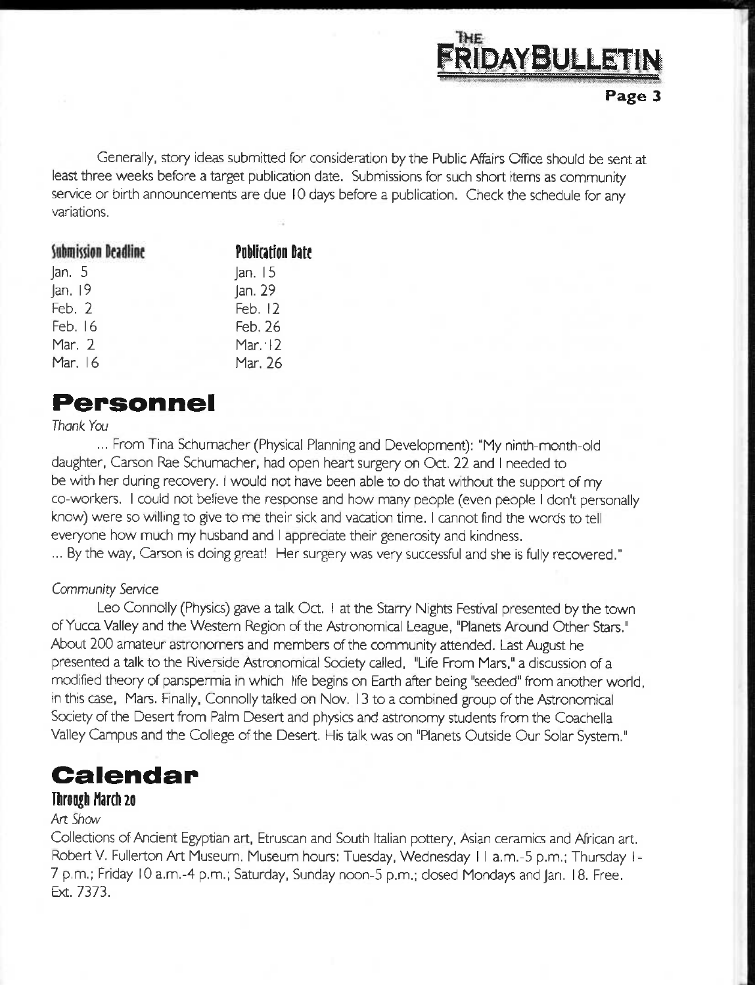

Generally, story ideas submitted for consideration by the Public Affairs Office should be sent at least three weeks before a target publication date. Submissions for such short items as community service or birth announcements are due 10 days before a publication. Check the schedule for any variations.

| Submission Deadline | <b>Publication Date</b> |
|---------------------|-------------------------|
| an.5                | an.15                   |
| Jan. 19             | Jan. 29                 |
| Feb. $2$            | Feb. 12                 |
| Feb. 16             | Feb. 26                 |
| Mar. 2              | Mar. $\cdot$ 12         |
| Mar. 16             | Mar. 26                 |

## **Personnel**

## *Thank You*

... From Tina Schumacher (Physical Planning and Development): "My ninth-month-old daughter, Carson Rae Schumacher, had open heart surgery on Oct, 22 and I needed to be with her during recovery. I would not have been able to do that without the support of my co-workers. I could not believe the response and how many people (even people I don't personally know) were so willing to give to me their sick and vacation time. I cannot find the words to tell everyone how much my husband and I appreciate their generosity and kindness.

... By the way, Carson is doing great! Her surgery was very successful and she is fully recovered."

## *Community Sen/ice*

Leo Connolly (Physics) gave a talk Oct. I at the Starry Nights Festival presented by the town of Yucca Valley and the Western Region of the Astronomical League, "Planets Around Other Stars." About 200 amateur astronomers and members of the community attended. Last August he presented a talk to the Riverside Astronomical Society called, "Life From Mars," a discussion of a modified theory of panspermia in which life begins on Earth after being "seeded" from another world, in this case. Mars. Finally, Connolly talked on Nov. 13 to a combined group of the Astronomical Society of the Desert from Palm Desert and physics and astronomy students from the Coachella Valley Campus and the College of the Desert. His talk was on "Planets Outside Our Solar System."

# **Calendar**

## **Through March 20**

## Art Show

Collections of Ancient Egyptian art, Etruscan and South Italian pottery. Asian ceramics and African art, Robert V. Fullerton Art Museum, Museum hours: Tuesday, Wednesday II a.m.-5 p.m.; Thursday I-7 p.m.; Friday 10 a.m.-4 p.m.; Saturday, Sunday noon-5 p.m.; closed Mondays and Jan, 18. Free. Ext. 7373.